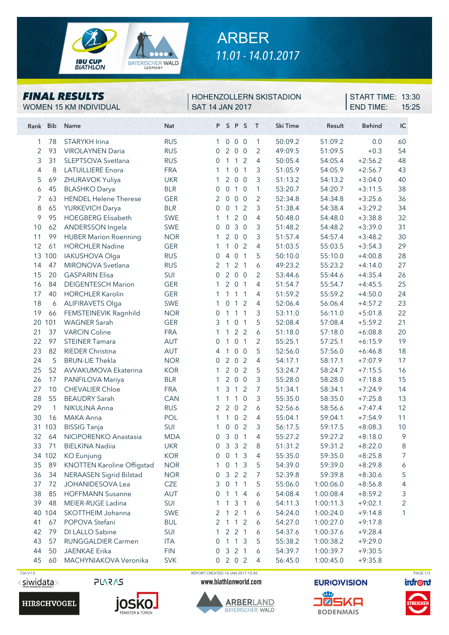

# ARBER *11.01 - 14.01.2017*

#### *FINAL RESULTS*

WOMEN 15 KM INDIVIDUAL SAT 14 JAN 2017

#### HOHENZOLLERN SKISTADION

END TIME: 15:25 **START TIME: 13:30** 

| Rank Bib |              | Name                                         | Nat               |                     |                  | PSPS                      |                | $\top$         | Ski Time           | Result                 | <b>Behind</b>          | IC             |
|----------|--------------|----------------------------------------------|-------------------|---------------------|------------------|---------------------------|----------------|----------------|--------------------|------------------------|------------------------|----------------|
| 1        | 78           | STARYKH Irina                                | <b>RUS</b>        | 1                   | 0                | 0 <sub>0</sub>            |                | $\mathbf{1}$   | 50:09.2            | 51:09.2                | 0.0                    | 60             |
| 2        | 93           | <b>VIROLAYNEN Daria</b>                      | <b>RUS</b>        | $\Omega$            | 2 <sup>1</sup>   | 0 <sub>0</sub>            |                | 2              | 49:09.5            | 51:09.5                | $+0.3$                 | 54             |
| 3        | 31           | SLEPTSOVA Svetlana                           | <b>RUS</b>        | $\overline{0}$      |                  | $1 1 2$                   |                | 4              | 50:05.4            | 54:05.4                | $+2:56.2$              | 48             |
| 4        | 8            | <b>LATUILLIERE</b> Enora                     | <b>FRA</b>        | 1                   | 1                | $\overline{0}$            | $\mathbf{1}$   | 3              | 51:05.9            | 54:05.9                | $+2:56.7$              | 43             |
| 5        | 69           | ZHURAVOK Yuliya                              | <b>UKR</b>        | 1                   | $\overline{2}$   | $\mathsf{O}\xspace$       | $\overline{0}$ | 3              | 51:13.2            | 54:13.2                | $+3:04.0$              | 40             |
| 6        | 45           | <b>BLASHKO Darya</b>                         | <b>BLR</b>        | $\mathbf{0}$        | $\mathbf 0$      | $1\quad0$                 |                | $\mathbf{1}$   | 53:20.7            | 54:20.7                | $+3:11.5$              | 38             |
| 7        | 63           | <b>HENDEL Helene Therese</b>                 | <b>GER</b>        | 2                   | $\overline{0}$   | 0 <sub>0</sub>            |                | $\overline{2}$ | 52:34.8            | 54:34.8                | $+3:25.6$              | 36             |
| 8        | 65           | YURKEVICH Darya                              | <b>BLR</b>        | $\overline{0}$      | $\overline{0}$   | 1 <sub>2</sub>            |                | 3              | 51:38.4            | 54:38.4                | $+3:29.2$              | 34             |
| 9        | 95           | <b>HOEGBERG Elisabeth</b>                    | <b>SWE</b>        | 1                   | 1                | $\overline{2}$            | $\overline{0}$ | 4              | 50:48.0            | 54:48.0                | $+3:38.8$              | 32             |
| 10       | 62           | ANDERSSON Ingela                             | SWE               | 0                   | $\boldsymbol{0}$ | $\mathfrak{Z}$            | $\overline{0}$ | $\mathfrak{Z}$ | 51:48.2            | 54:48.2                | $+3:39.0$              | 31             |
| 11       | 99           | <b>HUBER Marion Roenning</b>                 | <b>NOR</b>        | 1                   | $\overline{2}$   | 0 <sub>0</sub>            |                | 3              | 51:57.4            | 54:57.4                | $+3:48.2$              | 30             |
| 12       | 61           | <b>HORCHLER Nadine</b>                       | <b>GER</b>        | 1                   | $\mathbf{1}$     |                           | 0 <sub>2</sub> | 4              | 51:03.5            | 55:03.5                | $+3:54.3$              | 29             |
| 13       | 100          | IAKUSHOVA Olga                               | <b>RUS</b>        | 0                   | $\overline{4}$   | $\overline{0}$            | $\overline{1}$ | 5              | 50:10.0            | 55:10.0                | $+4:00.8$              | 28             |
| 14       | 47           | MIRONOVA Svetlana                            | <b>RUS</b>        | 2                   | $\mathbf{1}$     | 2 <sub>1</sub>            |                | 6              | 49:23.2            | 55:23.2                | $+4:14.0$              | 27             |
| 15       | 20           | <b>GASPARIN Elisa</b>                        | SUI               | 0                   | $\overline{2}$   | 0 <sub>0</sub>            |                | $\overline{2}$ | 53:44.6            | 55:44.6                | $+4:35.4$              | 26             |
| 16       | 84           | <b>DEIGENTESCH Marion</b>                    | <b>GER</b>        | 1                   | 2                | 0 <sub>1</sub>            |                | 4              | 51:54.7            | 55:54.7                | $+4:45.5$              | 25             |
| 17       | 40           | <b>HORCHLER Karolin</b>                      | <b>GER</b>        | 1                   | 1                |                           | $1\quad1$      | 4              | 51:59.2            | 55:59.2                | $+4:50.0$              | 24             |
| 18       | 6            | <b>ALIFIRAVETS Olga</b>                      | SWE               | 1                   | $\overline{0}$   | 1                         | 2              | 4              | 52:06.4            | 56:06.4                | $+4:57.2$              | 23             |
| 19       | 66           | FEMSTEINEVIK Ragnhild                        | <b>NOR</b>        | $\mathbf 0$         | 1                | 1                         | $\overline{1}$ | $\mathfrak{Z}$ | 53:11.0            | 56:11.0                | $+5:01.8$              | 22             |
|          | 20 101       | <b>WAGNER Sarah</b>                          | <b>GER</b>        | 3                   | $\mathbf{1}$     | $\mathbf 0$               | $\mathbf{1}$   | 5              | 52:08.4            | 57:08.4                | $+5:59.2$              | 21             |
| 21       | 37           | <b>VARCIN Coline</b>                         | <b>FRA</b>        | 1                   | $\mathbf{1}$     |                           | 2 <sub>2</sub> | 6              | 51:18.0            | 57:18.0                | $+6:08.8$              | 20             |
| 22       | 97           | <b>STEINER Tamara</b>                        | <b>AUT</b>        | $\mathbf{0}$        | $\mathbf{1}$     | 0 <sub>1</sub>            |                | 2              | 55:25.1            | 57:25.1                | $+6:15.9$              | 19             |
| 23       | 82           | <b>RIEDER Christina</b>                      | AUT               | 4                   | $\mathbf{1}$     | $\overline{0}$            | $\overline{0}$ | 5              | 52:56.0            | 57:56.0                | $+6:46.8$              | 18             |
| 24       | 5            | <b>BRUN-LIE Thekla</b>                       | <b>NOR</b>        | $\mathbf{0}$        | $\overline{2}$   | $\mathsf{O}\xspace$       | 2              | 4              | 54:17.1            | 58:17.1                | $+7:07.9$              | 17             |
| 25       | 52           | AVVAKUMOVA Ekaterina                         | <b>KOR</b>        | 1                   | $\overline{2}$   | $\mathbf 0$               | $\overline{2}$ | 5              | 53:24.7            | 58:24.7                | $+7:15.5$              | 16             |
| 26       | 17           | PANFILOVA Mariya                             | <b>BLR</b>        | 1                   | $\overline{2}$   | 0 <sub>0</sub>            |                | $\mathfrak{Z}$ | 55:28.0            | 58:28.0                | $+7:18.8$              | 15             |
| 27       | 10           | <b>CHEVALIER Chloe</b>                       | <b>FRA</b>        | 1                   | 3                | $\mathbf{1}$              | 2              | 7              | 51:34.1            | 58:34.1                | $+7:24.9$              | 14             |
| 28       | 55           | <b>BEAUDRY Sarah</b>                         | <b>CAN</b>        | 1                   | 1                | $\mathbf{1}$              | $\overline{0}$ | 3              | 55:35.0            | 58:35.0                | $+7:25.8$              | 13             |
| 29       | $\mathbf{1}$ | NIKULINA Anna                                | <b>RUS</b>        | $\overline{2}$      | $\overline{2}$   | $\mathsf{O}\xspace$       | 2              | 6              | 52:56.6            | 58:56.6                | $+7:47.4$              | 12             |
| 30       | 16           | <b>MAKA Anna</b>                             | POL               | 1                   | 1                |                           | 0 <sub>2</sub> | 4              | 55:04.1            | 59:04.1                | $+7:54.9$              | 11             |
| 31       | 103          | <b>BISSIG Tanja</b>                          | SUI               | 1                   | 0                | 0 <sub>2</sub>            |                | 3              | 56:17.5            | 59:17.5                | $+8:08.3$              | 10             |
| 32       | 64           | NICIPORENKO Anastasia                        | <b>MDA</b>        | $\Omega$            | 3                | $\overline{0}$            | $\mathbf{1}$   | 4              | 55:27.2            | 59:27.2                | $+8:18.0$              | $\mathcal{Q}$  |
| 33       | 71           | <b>BIELKINA Nadiia</b>                       | <b>UKR</b>        | $\overline{0}$      |                  | 332                       |                | 8              | 51:31.2            | 59:31.2                | $+8:22.0$              | 8              |
|          |              | 34 102 KO Eunjung                            | <b>KOR</b>        | $\overline{0}$      |                  | 0 1 3                     |                | 4              | 55:35.0            | 59:35.0                | $+8:25.8$              | $\overline{7}$ |
| 35       | 89           | KNOTTEN Karoline Offigstad                   | <b>NOR</b>        | 1.                  |                  | $0 \t1 \t3$               |                | 5              | 54:39.0            | 59:39.0                | $+8:29.8$              | 6              |
| 36       | 34           | <b>NERAASEN Sigrid Bilstad</b>               | <b>NOR</b>        | $\overline{0}$      |                  | 3 2 2<br>$0$ 1 1          |                | 7              | 52:39.8            | 59:39.8                | $+8:30.6$              | 5              |
| 37       | 72           | JOHANIDESOVA Lea                             | <b>CZE</b>        | 3                   |                  |                           |                | 5              | 55:06.0            | 1:00:06.0              | $+8:56.8$              | 4              |
| 38<br>39 | 85<br>48     | <b>HOFFMANN Susanne</b><br>MEIER-RUGE Ladina | AUT<br>SUI        | 0                   | 1                | $1\quad4$                 |                | 6              | 54:08.4            | 1:00:08.4              | $+8:59.2$<br>$+9:02.1$ | 3<br>2         |
|          | 40 104       | SKOTTHEIM Johanna                            |                   | 1                   | $\mathbf{1}$     | 3 <sub>1</sub>            |                | 6              | 54:11.3            | 1:00:11.3<br>1:00:24.0 | $+9:14.8$              |                |
|          |              | POPOVA Stefani                               | SWE               | 2                   | $\mathbf{1}$     | 2 <sub>1</sub><br>$1 1 2$ |                | 6              | 54:24.0            |                        |                        | 1              |
| 41<br>42 | 67<br>79     | DI LALLO Sabine                              | <b>BUL</b><br>SUI | $\overline{2}$<br>1 |                  | 221                       |                | 6<br>6         | 54:27.0<br>54:37.6 | 1:00:27.0<br>1:00:37.6 | $+9:17.8$<br>$+9:28.4$ |                |
| 43       | 57           | RUNGGALDIER Carmen                           | <b>ITA</b>        | 0                   |                  | $1 \t1 \t3$               |                | 5              | 55:38.2            | 1:00:38.2              | $+9:29.0$              |                |
| 44       | 50           | <b>JAENKAE Erika</b>                         | <b>FIN</b>        | 0                   |                  | 3 2 1                     |                | 6              | 54:39.7            | 1:00:39.7              | $+9:30.5$              |                |
| 45       | 60           | MACHYNIAKOVA Veronika                        | <b>SVK</b>        |                     |                  | 0 2 0 2                   |                | 4              | 56:45.0            | 1:00:45.0              | $+9:35.8$              |                |
|          |              |                                              |                   |                     |                  |                           |                |                |                    |                        |                        |                |

<siwidata>

**HIRSCHVOGEL** 





 73A V1.0 REPORT CREATED 14 JAN 2017 15:45 PAGE 1/3www.biathlonworld.com



**EURIO)VISION** 



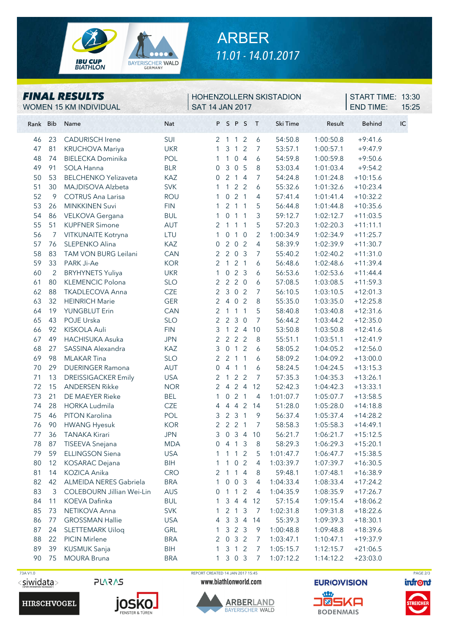

# ARBER *11.01 - 14.01.2017*

#### Rank Bib Name **Nat** P S P S T Ski Time Result Behind IC 46 23 CADURISCH Irene SUI 2 1 1 2 6 54:50.8 1:00:50.8 +9:41.6 47 81 KRUCHOVA Mariya UKR 1 3 1 2 7 53:57.1 1:00:57.1 +9:47.9 48 74 BIELECKA Dominika POL 1 1 0 4 6 54:59.8 1:00:59.8 +9:50.6 49 91 SOLA Hanna BLR 0 3 0 5 8 53:03.4 1:01:03.4 +9:54.2 50 53 BELCHENKO Yelizaveta KAZ 0 2 1 4 7 54:24.8 1:01:24.8 +10:15.6 51 30 MAJDISOVA Alzbeta SVK 1 1 2 2 6 55:32.6 1:01:32.6 +10:23.4 52 9 COTRUS Ana Larisa ROU 1 0 2 1 4 57:41.4 1:01:41.4 +10:32.2 53 26 MINKKINEN Suvi FIN 1 2 1 1 5 56:44.8 1:01:44.8 +10:35.6 54 86 VELKOVA Gergana BUL 1 0 1 1 3 59:12.7 1:02:12.7 +11:03.5 55 51 KUPFNER Simone AUT 2 1 1 1 5 57:20.3 1:02:20.3 +11:11.1 56 7 VITKUNAITE Kotryna LTU 1 0 1 0 2 1:00:34.9 1:02:34.9 +11:25.7 57 76 SLEPENKO Alina KAZ 0 2 0 2 4 58:39.9 1:02:39.9 +11:30.7 58 83 TAM VON BURG Leilani CAN 2 2 0 3 7 55:40.2 1:02:40.2 +11:31.0 59 33 PARK Ji-Ae KOR 2 1 2 1 6 56:48.6 1:02:48.6 +11:39.4 60 2 BRYHYNETS Yuliya UKR 1 0 2 3 6 56:53.6 1:02:53.6 +11:44.4 61 80 KLEMENCIC Polona SLO 2 2 2 0 6 57:08.5 1:03:08.5 +11:59.3 62 88 TKADLECOVA Anna CZE 2 3 0 2 7 56:10.5 1:03:10.5 +12:01.3 63 32 HEINRICH Marie GER 2 4 0 2 8 55:35.0 1:03:35.0 +12:25.8 64 19 YUNGBLUT Erin CAN 2 1 1 1 5 58:40.8 1:03:40.8 +12:31.6 65 43 POJE Urska SLO 2 2 3 0 7 56:44.2 1:03:44.2 +12:35.0 66 92 KISKOLA Auli FIN 3 1 2 4 10 53:50.8 1:03:50.8 +12:41.6 67 49 HACHISUKA Asuka JPN 2 2 2 2 8 55:51.1 1:03:51.1 +12:41.9 68 27 SASSINA Alexandra KAZ 3 0 1 2 6 58:05.2 1:04:05.2 +12:56.0 69 98 MLAKAR Tina SLO 2 2 1 1 6 58:09.2 1:04:09.2 +13:00.0 70 29 DUERINGER Ramona AUT 0 4 1 1 6 58:24.5 1:04:24.5 +13:15.3 71 13 DREISSIGACKER Emily USA 2 1 2 2 7 57:35.3 1:04:35.3 +13:26.1 72 15 ANDERSEN Rikke NOR 2 4 2 4 12 52:42.3 1:04:42.3 +13:33.1 73 21 DE MAEYER Rieke BEL 1 0 2 1 4 1:01:07.7 1:05:07.7 +13:58.5 74 28 HORKA Ludmila CZE 4 4 4 2 14 51:28.0 1:05:28.0 +14:18.8 75 46 PITON Karolina POL 3 2 3 1 9 56:37.4 1:05:37.4 +14:28.2 76 90 HWANG Hyesuk KOR 2 2 2 1 7 58:58.3 1:05:58.3 +14:49.1 77 36 TANAKA Kirari JPN 3 0 3 4 10 56:21.7 1:06:21.7 +15:12.5 78 87 TISEEVA Snejana MDA 0 4 1 3 8 58:29.3 1:06:29.3 +15:20.1 79 59 ELLINGSON Siena USA 1 1 1 2 5 1:01:47.7 1:06:47.7 +15:38.5 80 12 KOSARAC Dejana BIH 1 1 0 2 4 1:03:39.7 1:07:39.7 +16:30.5 81 14 KOZICA Anika CRO 2 1 1 4 8 59:48.1 1:07:48.1 +16:38.9 82 42 ALMEIDA NERES Gabriela BRA 1 0 0 3 4 1:04:33.4 1:08:33.4 +17:24.2 83 3 COLEBOURN Jillian Wei-Lin AUS 0 1 1 2 4 1:04:35.9 1:08:35.9 +17:26.7 84 11 KOEVA Dafinka BUL 1 3 4 4 12 57:15.4 1:09:15.4 +18:06.2 85 73 NETIKOVA Anna SVK 1 2 1 3 7 1:02:31.8 1:09:31.8 +18:22.6 86 77 GROSSMAN Hallie USA 4 3 3 4 14 55:39.3 1:09:39.3 +18:30.1 87 24 SLETTEMARK Uiloq GRL 1 3 2 3 9 1:00:48.8 1:09:48.8 +18:39.6 88 22 PICIN Mirlene BRA 2 0 3 2 7 1:03:47.1 1:10:47.1 +19:37.9 89 39 KUSMUK Sanja BIH 1 3 1 2 7 1:05:15.7 1:12:15.7 +21:06.5 90 75 MOURA Bruna BRA 1 3 0 3 7 1:07:12.2 1:14:12.2 +23:03.0 *FINAL RESULTS* WOMEN 15 KM INDIVIDUAL SAT 14 JAN 2017 HOHENZOLLERN SKISTADION END TIME: 15:25 **START TIME: 13:30**

<siwidata>

**PLARAS** 





 73A V1.0 REPORT CREATED 14 JAN 2017 15:45 PAGE 2/3www.biathlonworld.com



**EURIO)VISION**